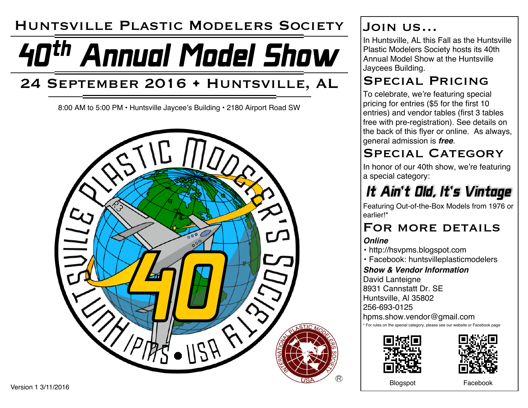## Huntsville Plastic Modelers Society

# 40th Annual Model Show

# 24 September 2016 • Huntsville, AL

8:00 AM to 5:00 PM • Huntsville Jaycee's Building • 2180 Airport Road SW



## Join us…

In Huntsville, AL this Fall as the Huntsville Plastic Modelers Society hosts its 40th Annual Model Show at the Huntsville Jaycees Building.

### Special Pricing

To celebrate, we're featuring special pricing for entries (\$5 for the first 10 entries) and vendor tables (first 3 tables free with pre-registration). See details on the back of this flyer or online. As always, general admission is *free*.

## SPECIAL CATEGORY

In honor of our 40th show, we're featuring a special category:

# It Ain't Old, It's Vintage

Featuring Out-of-the-Box Models from 1976 or earlier!\*

## FOR MORE DETAILS

#### *Online*

- http://hsvpms.blogspot.com
- Facebook: huntsvilleplasticmodelers

#### *Show & Vendor Information*

David Lanteigne 8931 Cannstatt Dr. SE Huntsville, Al 35802 256-693-0125

hpms.show.vendor@gmail.com

\* For rules on the special category, please see our website or Facebook page





Blogspot Facebook